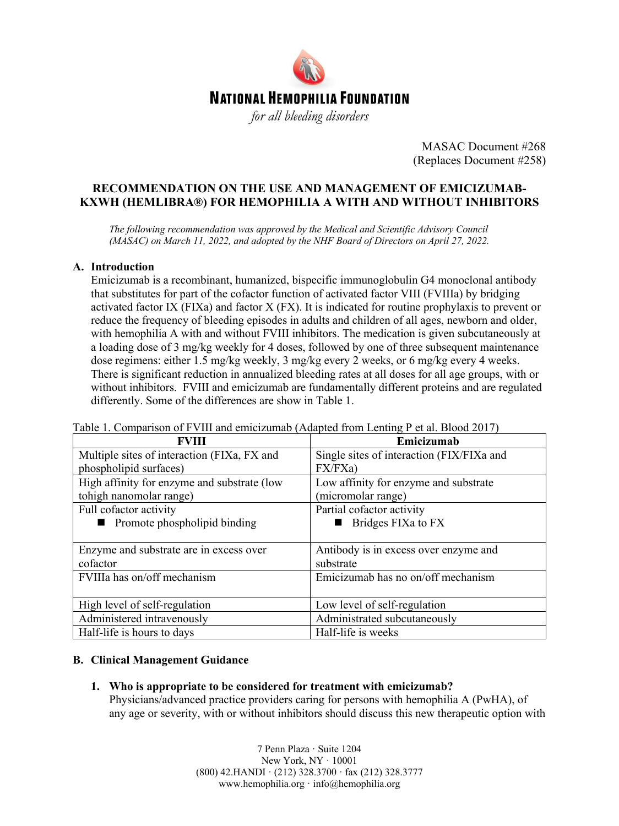

MASAC Document #268 (Replaces Document #258)

# **RECOMMENDATION ON THE USE AND MANAGEMENT OF EMICIZUMAB-KXWH (HEMLIBRA®) FOR HEMOPHILIA A WITH AND WITHOUT INHIBITORS**

*The following recommendation was approved by the Medical and Scientific Advisory Council (MASAC) on March 11, 2022, and adopted by the NHF Board of Directors on April 27, 2022.*

## **A. Introduction**

Emicizumab is a recombinant, humanized, bispecific immunoglobulin G4 monoclonal antibody that substitutes for part of the cofactor function of activated factor VIII (FVIIIa) by bridging activated factor IX (FIXa) and factor X (FX). It is indicated for routine prophylaxis to prevent or reduce the frequency of bleeding episodes in adults and children of all ages, newborn and older, with hemophilia A with and without FVIII inhibitors. The medication is given subcutaneously at a loading dose of 3 mg/kg weekly for 4 doses, followed by one of three subsequent maintenance dose regimens: either 1.5 mg/kg weekly, 3 mg/kg every 2 weeks, or 6 mg/kg every 4 weeks. There is significant reduction in annualized bleeding rates at all doses for all age groups, with or without inhibitors. FVIII and emicizumab are fundamentally different proteins and are regulated differently. Some of the differences are show in Table 1.

| Tuble 1. Companion of F vint and emicization (Trapical Home Echting F of all Drood $2017$ ) |                                           |
|---------------------------------------------------------------------------------------------|-------------------------------------------|
| <b>FVIII</b>                                                                                | Emicizumab                                |
| Multiple sites of interaction (FIXa, FX and                                                 | Single sites of interaction (FIX/FIXa and |
| phospholipid surfaces)                                                                      | FX/FXa)                                   |
| High affinity for enzyme and substrate (low                                                 | Low affinity for enzyme and substrate     |
| tohigh nanomolar range)                                                                     | (micromolar range)                        |
| Full cofactor activity                                                                      | Partial cofactor activity                 |
| ■ Promote phospholipid binding                                                              | Bridges FIXa to FX                        |
|                                                                                             |                                           |
| Enzyme and substrate are in excess over                                                     | Antibody is in excess over enzyme and     |
| cofactor                                                                                    | substrate                                 |
| FVIIIa has on/off mechanism                                                                 | Emicizumab has no on/off mechanism        |
|                                                                                             |                                           |
| High level of self-regulation                                                               | Low level of self-regulation              |
| Administered intravenously                                                                  | Administrated subcutaneously              |
| Half-life is hours to days                                                                  | Half-life is weeks                        |

Table 1. Comparison of FVIII and emicizumab (Adapted from Lenting P et al. Blood 2017)

#### **B. Clinical Management Guidance**

**1. Who is appropriate to be considered for treatment with emicizumab?**

Physicians/advanced practice providers caring for persons with hemophilia A (PwHA), of any age or severity, with or without inhibitors should discuss this new therapeutic option with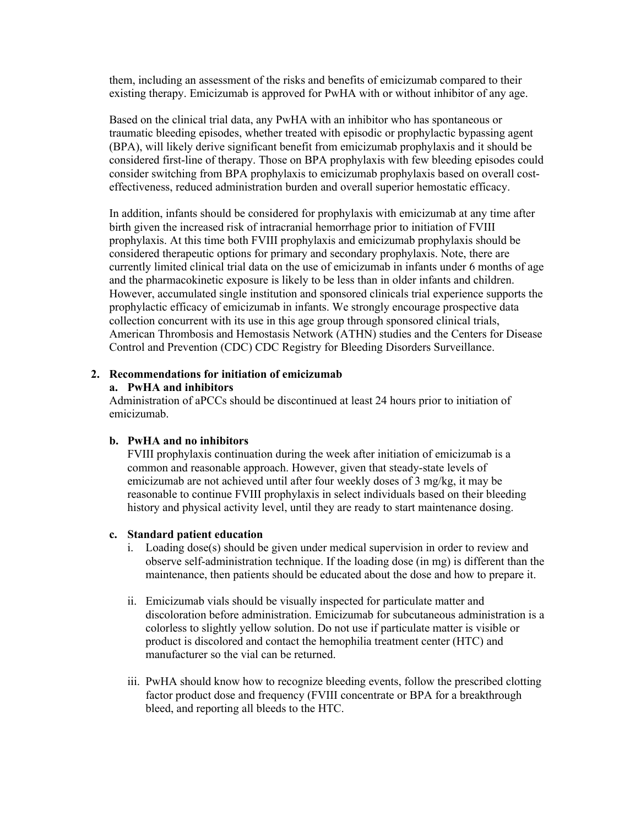them, including an assessment of the risks and benefits of emicizumab compared to their existing therapy. Emicizumab is approved for PwHA with or without inhibitor of any age.

Based on the clinical trial data, any PwHA with an inhibitor who has spontaneous or traumatic bleeding episodes, whether treated with episodic or prophylactic bypassing agent (BPA), will likely derive significant benefit from emicizumab prophylaxis and it should be considered first-line of therapy. Those on BPA prophylaxis with few bleeding episodes could consider switching from BPA prophylaxis to emicizumab prophylaxis based on overall costeffectiveness, reduced administration burden and overall superior hemostatic efficacy.

In addition, infants should be considered for prophylaxis with emicizumab at any time after birth given the increased risk of intracranial hemorrhage prior to initiation of FVIII prophylaxis. At this time both FVIII prophylaxis and emicizumab prophylaxis should be considered therapeutic options for primary and secondary prophylaxis. Note, there are currently limited clinical trial data on the use of emicizumab in infants under 6 months of age and the pharmacokinetic exposure is likely to be less than in older infants and children. However, accumulated single institution and sponsored clinicals trial experience supports the prophylactic efficacy of emicizumab in infants. We strongly encourage prospective data collection concurrent with its use in this age group through sponsored clinical trials, American Thrombosis and Hemostasis Network (ATHN) studies and the Centers for Disease Control and Prevention (CDC) CDC Registry for Bleeding Disorders Surveillance.

## **2. Recommendations for initiation of emicizumab**

### **a. PwHA and inhibitors**

Administration of aPCCs should be discontinued at least 24 hours prior to initiation of emicizumab.

## **b. PwHA and no inhibitors**

FVIII prophylaxis continuation during the week after initiation of emicizumab is a common and reasonable approach. However, given that steady-state levels of emicizumab are not achieved until after four weekly doses of 3 mg/kg, it may be reasonable to continue FVIII prophylaxis in select individuals based on their bleeding history and physical activity level, until they are ready to start maintenance dosing.

#### **c. Standard patient education**

- i. Loading dose(s) should be given under medical supervision in order to review and observe self-administration technique. If the loading dose (in mg) is different than the maintenance, then patients should be educated about the dose and how to prepare it.
- ii. Emicizumab vials should be visually inspected for particulate matter and discoloration before administration. Emicizumab for subcutaneous administration is a colorless to slightly yellow solution. Do not use if particulate matter is visible or product is discolored and contact the hemophilia treatment center (HTC) and manufacturer so the vial can be returned.
- iii. PwHA should know how to recognize bleeding events, follow the prescribed clotting factor product dose and frequency (FVIII concentrate or BPA for a breakthrough bleed, and reporting all bleeds to the HTC.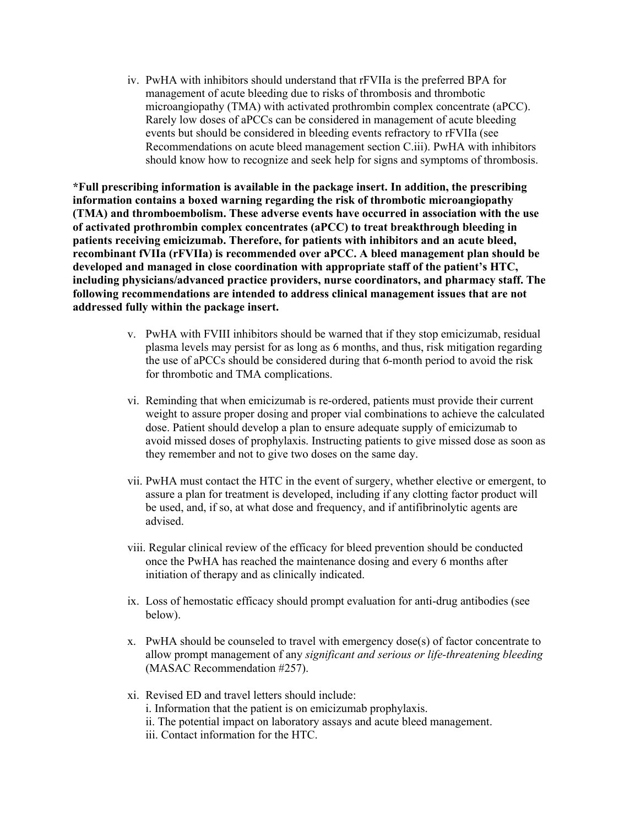iv. PwHA with inhibitors should understand that rFVIIa is the preferred BPA for management of acute bleeding due to risks of thrombosis and thrombotic microangiopathy (TMA) with activated prothrombin complex concentrate (aPCC). Rarely low doses of aPCCs can be considered in management of acute bleeding events but should be considered in bleeding events refractory to rFVIIa (see Recommendations on acute bleed management section C.iii). PwHA with inhibitors should know how to recognize and seek help for signs and symptoms of thrombosis.

**\*Full prescribing information is available in the package insert. In addition, the prescribing information contains a boxed warning regarding the risk of thrombotic microangiopathy (TMA) and thromboembolism. These adverse events have occurred in association with the use of activated prothrombin complex concentrates (aPCC) to treat breakthrough bleeding in patients receiving emicizumab. Therefore, for patients with inhibitors and an acute bleed, recombinant fVIIa (rFVIIa) is recommended over aPCC. A bleed management plan should be developed and managed in close coordination with appropriate staff of the patient's HTC, including physicians/advanced practice providers, nurse coordinators, and pharmacy staff. The following recommendations are intended to address clinical management issues that are not addressed fully within the package insert.** 

- v. PwHA with FVIII inhibitors should be warned that if they stop emicizumab, residual plasma levels may persist for as long as 6 months, and thus, risk mitigation regarding the use of aPCCs should be considered during that 6-month period to avoid the risk for thrombotic and TMA complications.
- vi. Reminding that when emicizumab is re-ordered, patients must provide their current weight to assure proper dosing and proper vial combinations to achieve the calculated dose. Patient should develop a plan to ensure adequate supply of emicizumab to avoid missed doses of prophylaxis. Instructing patients to give missed dose as soon as they remember and not to give two doses on the same day.
- vii. PwHA must contact the HTC in the event of surgery, whether elective or emergent, to assure a plan for treatment is developed, including if any clotting factor product will be used, and, if so, at what dose and frequency, and if antifibrinolytic agents are advised.
- viii. Regular clinical review of the efficacy for bleed prevention should be conducted once the PwHA has reached the maintenance dosing and every 6 months after initiation of therapy and as clinically indicated.
- ix. Loss of hemostatic efficacy should prompt evaluation for anti-drug antibodies (see below).
- x. PwHA should be counseled to travel with emergency dose(s) of factor concentrate to allow prompt management of any *significant and serious or life-threatening bleeding*  (MASAC Recommendation #257).
- xi. Revised ED and travel letters should include: i. Information that the patient is on emicizumab prophylaxis. ii. The potential impact on laboratory assays and acute bleed management. iii. Contact information for the HTC.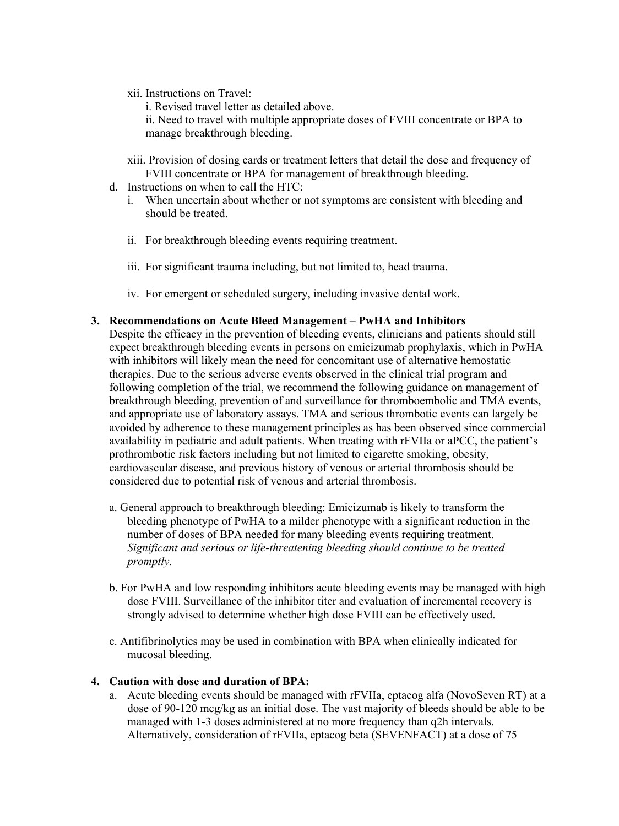xii. Instructions on Travel:

i. Revised travel letter as detailed above.

ii. Need to travel with multiple appropriate doses of FVIII concentrate or BPA to manage breakthrough bleeding.

- xiii. Provision of dosing cards or treatment letters that detail the dose and frequency of FVIII concentrate or BPA for management of breakthrough bleeding.
- d. Instructions on when to call the HTC:
	- i. When uncertain about whether or not symptoms are consistent with bleeding and should be treated.
	- ii. For breakthrough bleeding events requiring treatment.
	- iii. For significant trauma including, but not limited to, head trauma.
	- iv. For emergent or scheduled surgery, including invasive dental work.

## **3. Recommendations on Acute Bleed Management – PwHA and Inhibitors**

Despite the efficacy in the prevention of bleeding events, clinicians and patients should still expect breakthrough bleeding events in persons on emicizumab prophylaxis, which in PwHA with inhibitors will likely mean the need for concomitant use of alternative hemostatic therapies. Due to the serious adverse events observed in the clinical trial program and following completion of the trial, we recommend the following guidance on management of breakthrough bleeding, prevention of and surveillance for thromboembolic and TMA events, and appropriate use of laboratory assays. TMA and serious thrombotic events can largely be avoided by adherence to these management principles as has been observed since commercial availability in pediatric and adult patients. When treating with rFVIIa or aPCC, the patient's prothrombotic risk factors including but not limited to cigarette smoking, obesity, cardiovascular disease, and previous history of venous or arterial thrombosis should be considered due to potential risk of venous and arterial thrombosis.

- a. General approach to breakthrough bleeding: Emicizumab is likely to transform the bleeding phenotype of PwHA to a milder phenotype with a significant reduction in the number of doses of BPA needed for many bleeding events requiring treatment. *Significant and serious or life-threatening bleeding should continue to be treated promptly.*
- b. For PwHA and low responding inhibitors acute bleeding events may be managed with high dose FVIII. Surveillance of the inhibitor titer and evaluation of incremental recovery is strongly advised to determine whether high dose FVIII can be effectively used.
- c. Antifibrinolytics may be used in combination with BPA when clinically indicated for mucosal bleeding.

## **4. Caution with dose and duration of BPA:**

a. Acute bleeding events should be managed with rFVIIa, eptacog alfa (NovoSeven RT) at a dose of 90-120 mcg/kg as an initial dose. The vast majority of bleeds should be able to be managed with 1-3 doses administered at no more frequency than q2h intervals. Alternatively, consideration of rFVIIa, eptacog beta (SEVENFACT) at a dose of 75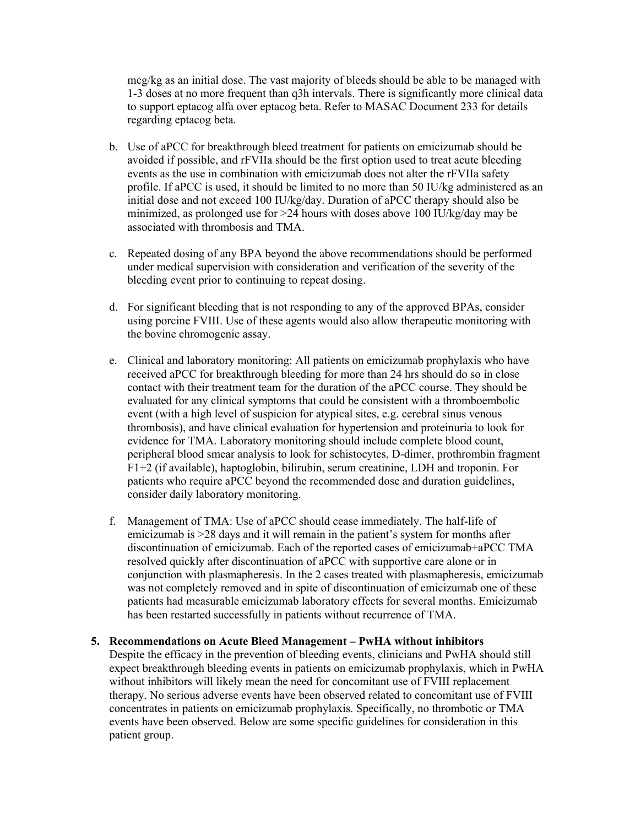mcg/kg as an initial dose. The vast majority of bleeds should be able to be managed with 1-3 doses at no more frequent than q3h intervals. There is significantly more clinical data to support eptacog alfa over eptacog beta. Refer to MASAC Document 233 for details regarding eptacog beta.

- b. Use of aPCC for breakthrough bleed treatment for patients on emicizumab should be avoided if possible, and rFVIIa should be the first option used to treat acute bleeding events as the use in combination with emicizumab does not alter the rFVIIa safety profile. If aPCC is used, it should be limited to no more than 50 IU/kg administered as an initial dose and not exceed 100 IU/kg/day. Duration of aPCC therapy should also be minimized, as prolonged use for >24 hours with doses above 100 IU/kg/day may be associated with thrombosis and TMA.
- c. Repeated dosing of any BPA beyond the above recommendations should be performed under medical supervision with consideration and verification of the severity of the bleeding event prior to continuing to repeat dosing.
- d. For significant bleeding that is not responding to any of the approved BPAs, consider using porcine FVIII. Use of these agents would also allow therapeutic monitoring with the bovine chromogenic assay.
- e. Clinical and laboratory monitoring: All patients on emicizumab prophylaxis who have received aPCC for breakthrough bleeding for more than 24 hrs should do so in close contact with their treatment team for the duration of the aPCC course. They should be evaluated for any clinical symptoms that could be consistent with a thromboembolic event (with a high level of suspicion for atypical sites, e.g. cerebral sinus venous thrombosis), and have clinical evaluation for hypertension and proteinuria to look for evidence for TMA. Laboratory monitoring should include complete blood count, peripheral blood smear analysis to look for schistocytes, D-dimer, prothrombin fragment F1+2 (if available), haptoglobin, bilirubin, serum creatinine, LDH and troponin. For patients who require aPCC beyond the recommended dose and duration guidelines, consider daily laboratory monitoring.
- f. Management of TMA: Use of aPCC should cease immediately. The half-life of emicizumab is >28 days and it will remain in the patient's system for months after discontinuation of emicizumab. Each of the reported cases of emicizumab+aPCC TMA resolved quickly after discontinuation of aPCC with supportive care alone or in conjunction with plasmapheresis. In the 2 cases treated with plasmapheresis, emicizumab was not completely removed and in spite of discontinuation of emicizumab one of these patients had measurable emicizumab laboratory effects for several months. Emicizumab has been restarted successfully in patients without recurrence of TMA.

#### **5. Recommendations on Acute Bleed Management – PwHA without inhibitors**

Despite the efficacy in the prevention of bleeding events, clinicians and PwHA should still expect breakthrough bleeding events in patients on emicizumab prophylaxis, which in PwHA without inhibitors will likely mean the need for concomitant use of FVIII replacement therapy. No serious adverse events have been observed related to concomitant use of FVIII concentrates in patients on emicizumab prophylaxis. Specifically, no thrombotic or TMA events have been observed. Below are some specific guidelines for consideration in this patient group.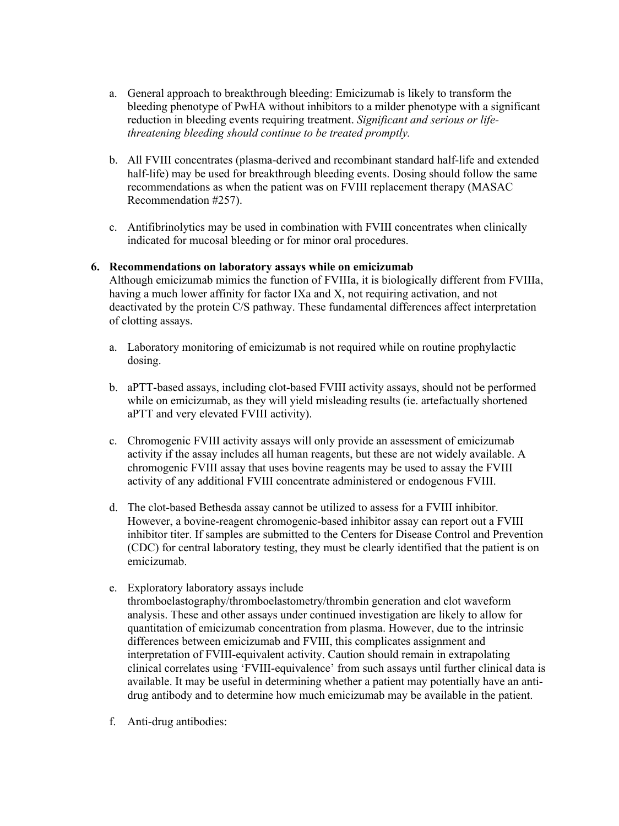- a. General approach to breakthrough bleeding: Emicizumab is likely to transform the bleeding phenotype of PwHA without inhibitors to a milder phenotype with a significant reduction in bleeding events requiring treatment. *Significant and serious or lifethreatening bleeding should continue to be treated promptly.*
- b. All FVIII concentrates (plasma-derived and recombinant standard half-life and extended half-life) may be used for breakthrough bleeding events. Dosing should follow the same recommendations as when the patient was on FVIII replacement therapy (MASAC Recommendation #257).
- c. Antifibrinolytics may be used in combination with FVIII concentrates when clinically indicated for mucosal bleeding or for minor oral procedures.

## **6. Recommendations on laboratory assays while on emicizumab**

Although emicizumab mimics the function of FVIIIa, it is biologically different from FVIIIa, having a much lower affinity for factor IXa and X, not requiring activation, and not deactivated by the protein C/S pathway. These fundamental differences affect interpretation of clotting assays.

- a. Laboratory monitoring of emicizumab is not required while on routine prophylactic dosing.
- b. aPTT-based assays, including clot-based FVIII activity assays, should not be performed while on emicizumab, as they will yield misleading results (ie. artefactually shortened aPTT and very elevated FVIII activity).
- c. Chromogenic FVIII activity assays will only provide an assessment of emicizumab activity if the assay includes all human reagents, but these are not widely available. A chromogenic FVIII assay that uses bovine reagents may be used to assay the FVIII activity of any additional FVIII concentrate administered or endogenous FVIII.
- d. The clot-based Bethesda assay cannot be utilized to assess for a FVIII inhibitor. However, a bovine-reagent chromogenic-based inhibitor assay can report out a FVIII inhibitor titer. If samples are submitted to the Centers for Disease Control and Prevention (CDC) for central laboratory testing, they must be clearly identified that the patient is on emicizumab.
- e. Exploratory laboratory assays include thromboelastography/thromboelastometry/thrombin generation and clot waveform analysis. These and other assays under continued investigation are likely to allow for quantitation of emicizumab concentration from plasma. However, due to the intrinsic differences between emicizumab and FVIII, this complicates assignment and interpretation of FVIII-equivalent activity. Caution should remain in extrapolating clinical correlates using 'FVIII-equivalence' from such assays until further clinical data is available. It may be useful in determining whether a patient may potentially have an antidrug antibody and to determine how much emicizumab may be available in the patient.
- f. Anti-drug antibodies: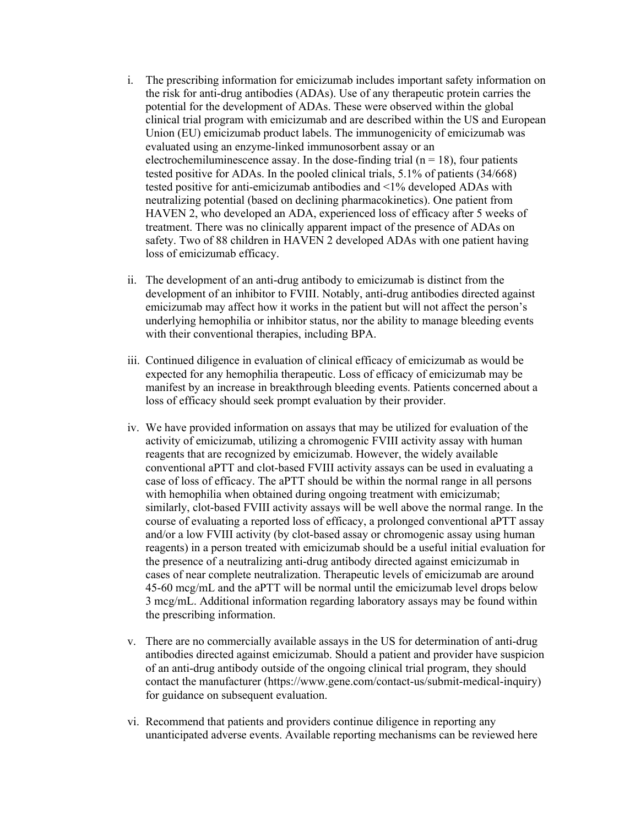- i. The prescribing information for emicizumab includes important safety information on the risk for anti-drug antibodies (ADAs). Use of any therapeutic protein carries the potential for the development of ADAs. These were observed within the global clinical trial program with emicizumab and are described within the US and European Union (EU) emicizumab product labels. The immunogenicity of emicizumab was evaluated using an enzyme-linked immunosorbent assay or an electrochemiluminescence assay. In the dose-finding trial ( $n = 18$ ), four patients tested positive for ADAs. In the pooled clinical trials, 5.1% of patients (34/668) tested positive for anti-emicizumab antibodies and <1% developed ADAs with neutralizing potential (based on declining pharmacokinetics). One patient from HAVEN 2, who developed an ADA, experienced loss of efficacy after 5 weeks of treatment. There was no clinically apparent impact of the presence of ADAs on safety. Two of 88 children in HAVEN 2 developed ADAs with one patient having loss of emicizumab efficacy.
- ii. The development of an anti-drug antibody to emicizumab is distinct from the development of an inhibitor to FVIII. Notably, anti-drug antibodies directed against emicizumab may affect how it works in the patient but will not affect the person's underlying hemophilia or inhibitor status, nor the ability to manage bleeding events with their conventional therapies, including BPA.
- iii. Continued diligence in evaluation of clinical efficacy of emicizumab as would be expected for any hemophilia therapeutic. Loss of efficacy of emicizumab may be manifest by an increase in breakthrough bleeding events. Patients concerned about a loss of efficacy should seek prompt evaluation by their provider.
- iv. We have provided information on assays that may be utilized for evaluation of the activity of emicizumab, utilizing a chromogenic FVIII activity assay with human reagents that are recognized by emicizumab. However, the widely available conventional aPTT and clot-based FVIII activity assays can be used in evaluating a case of loss of efficacy. The aPTT should be within the normal range in all persons with hemophilia when obtained during ongoing treatment with emicizumab; similarly, clot-based FVIII activity assays will be well above the normal range. In the course of evaluating a reported loss of efficacy, a prolonged conventional aPTT assay and/or a low FVIII activity (by clot-based assay or chromogenic assay using human reagents) in a person treated with emicizumab should be a useful initial evaluation for the presence of a neutralizing anti-drug antibody directed against emicizumab in cases of near complete neutralization. Therapeutic levels of emicizumab are around 45-60 mcg/mL and the aPTT will be normal until the emicizumab level drops below 3 mcg/mL. Additional information regarding laboratory assays may be found within the prescribing information.
- v. There are no commercially available assays in the US for determination of anti-drug antibodies directed against emicizumab. Should a patient and provider have suspicion of an anti-drug antibody outside of the ongoing clinical trial program, they should contact the manufacturer (https://www.gene.com/contact-us/submit-medical-inquiry) for guidance on subsequent evaluation.
- vi. Recommend that patients and providers continue diligence in reporting any unanticipated adverse events. Available reporting mechanisms can be reviewed here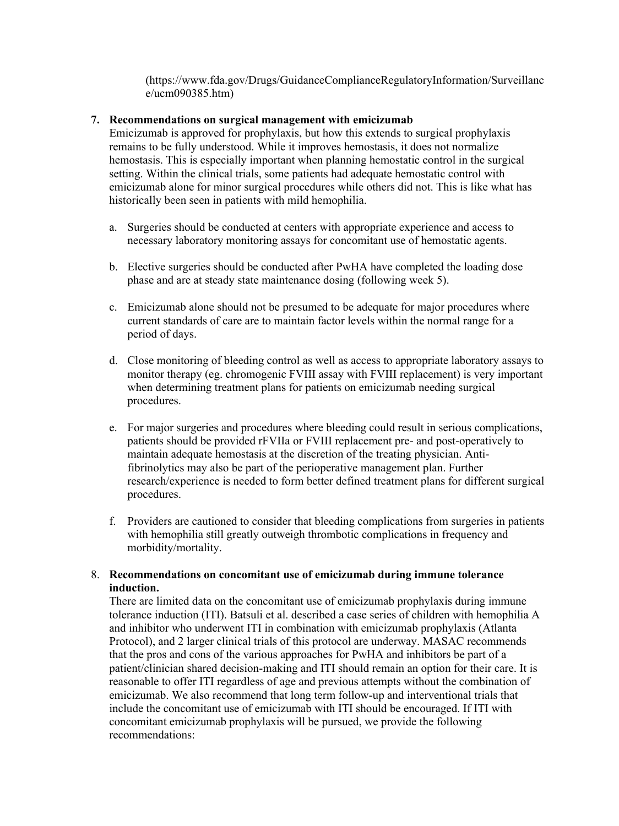(https://www.fda.gov/Drugs/GuidanceComplianceRegulatoryInformation/Surveillanc e/ucm090385.htm)

## **7. Recommendations on surgical management with emicizumab**

Emicizumab is approved for prophylaxis, but how this extends to surgical prophylaxis remains to be fully understood. While it improves hemostasis, it does not normalize hemostasis. This is especially important when planning hemostatic control in the surgical setting. Within the clinical trials, some patients had adequate hemostatic control with emicizumab alone for minor surgical procedures while others did not. This is like what has historically been seen in patients with mild hemophilia.

- a. Surgeries should be conducted at centers with appropriate experience and access to necessary laboratory monitoring assays for concomitant use of hemostatic agents.
- b. Elective surgeries should be conducted after PwHA have completed the loading dose phase and are at steady state maintenance dosing (following week 5).
- c. Emicizumab alone should not be presumed to be adequate for major procedures where current standards of care are to maintain factor levels within the normal range for a period of days.
- d. Close monitoring of bleeding control as well as access to appropriate laboratory assays to monitor therapy (eg. chromogenic FVIII assay with FVIII replacement) is very important when determining treatment plans for patients on emicizumab needing surgical procedures.
- e. For major surgeries and procedures where bleeding could result in serious complications, patients should be provided rFVIIa or FVIII replacement pre- and post-operatively to maintain adequate hemostasis at the discretion of the treating physician. Antifibrinolytics may also be part of the perioperative management plan. Further research/experience is needed to form better defined treatment plans for different surgical procedures.
- f. Providers are cautioned to consider that bleeding complications from surgeries in patients with hemophilia still greatly outweigh thrombotic complications in frequency and morbidity/mortality.

## 8. **Recommendations on concomitant use of emicizumab during immune tolerance induction.**

There are limited data on the concomitant use of emicizumab prophylaxis during immune tolerance induction (ITI). Batsuli et al. described a case series of children with hemophilia A and inhibitor who underwent ITI in combination with emicizumab prophylaxis (Atlanta Protocol), and 2 larger clinical trials of this protocol are underway. MASAC recommends that the pros and cons of the various approaches for PwHA and inhibitors be part of a patient/clinician shared decision-making and ITI should remain an option for their care. It is reasonable to offer ITI regardless of age and previous attempts without the combination of emicizumab. We also recommend that long term follow-up and interventional trials that include the concomitant use of emicizumab with ITI should be encouraged. If ITI with concomitant emicizumab prophylaxis will be pursued, we provide the following recommendations: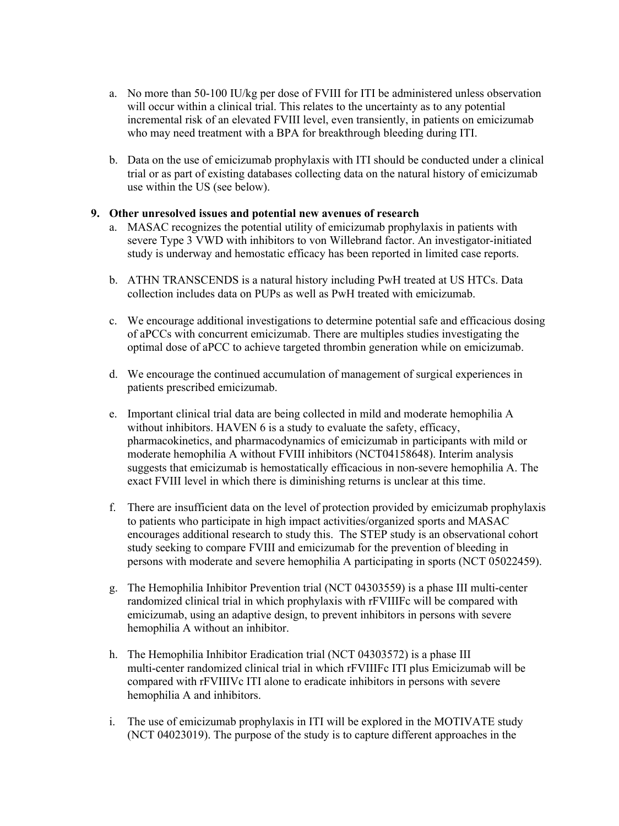- a. No more than 50-100 IU/kg per dose of FVIII for ITI be administered unless observation will occur within a clinical trial. This relates to the uncertainty as to any potential incremental risk of an elevated FVIII level, even transiently, in patients on emicizumab who may need treatment with a BPA for breakthrough bleeding during ITI.
- b. Data on the use of emicizumab prophylaxis with ITI should be conducted under a clinical trial or as part of existing databases collecting data on the natural history of emicizumab use within the US (see below).

# **9. Other unresolved issues and potential new avenues of research**

- a. MASAC recognizes the potential utility of emicizumab prophylaxis in patients with severe Type 3 VWD with inhibitors to von Willebrand factor. An investigator-initiated study is underway and hemostatic efficacy has been reported in limited case reports.
- b. ATHN TRANSCENDS is a natural history including PwH treated at US HTCs. Data collection includes data on PUPs as well as PwH treated with emicizumab.
- c. We encourage additional investigations to determine potential safe and efficacious dosing of aPCCs with concurrent emicizumab. There are multiples studies investigating the optimal dose of aPCC to achieve targeted thrombin generation while on emicizumab.
- d. We encourage the continued accumulation of management of surgical experiences in patients prescribed emicizumab.
- e. Important clinical trial data are being collected in mild and moderate hemophilia A without inhibitors. HAVEN 6 is a study to evaluate the safety, efficacy, pharmacokinetics, and pharmacodynamics of emicizumab in participants with mild or moderate hemophilia A without FVIII inhibitors (NCT04158648). Interim analysis suggests that emicizumab is hemostatically efficacious in non-severe hemophilia A. The exact FVIII level in which there is diminishing returns is unclear at this time.
- f. There are insufficient data on the level of protection provided by emicizumab prophylaxis to patients who participate in high impact activities/organized sports and MASAC encourages additional research to study this. The STEP study is an observational cohort study seeking to compare FVIII and emicizumab for the prevention of bleeding in persons with moderate and severe hemophilia A participating in sports (NCT 05022459).
- g. The Hemophilia Inhibitor Prevention trial (NCT 04303559) is a phase III multi-center randomized clinical trial in which prophylaxis with rFVIIIFc will be compared with emicizumab, using an adaptive design, to prevent inhibitors in persons with severe hemophilia A without an inhibitor.
- h. The Hemophilia Inhibitor Eradication trial (NCT 04303572) is a phase III multi-center randomized clinical trial in which rFVIIIFc ITI plus Emicizumab will be compared with rFVIIIVc ITI alone to eradicate inhibitors in persons with severe hemophilia A and inhibitors.
- i. The use of emicizumab prophylaxis in ITI will be explored in the MOTIVATE study (NCT 04023019). The purpose of the study is to capture different approaches in the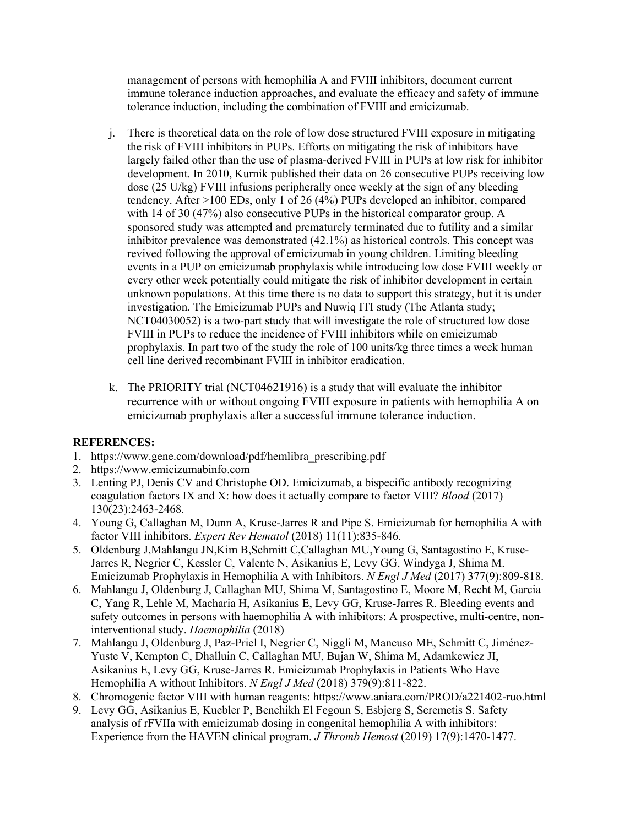management of persons with hemophilia A and FVIII inhibitors, document current immune tolerance induction approaches, and evaluate the efficacy and safety of immune tolerance induction, including the combination of FVIII and emicizumab.

- j. There is theoretical data on the role of low dose structured FVIII exposure in mitigating the risk of FVIII inhibitors in PUPs. Efforts on mitigating the risk of inhibitors have largely failed other than the use of plasma-derived FVIII in PUPs at low risk for inhibitor development. In 2010, Kurnik published their data on 26 consecutive PUPs receiving low dose (25 U/kg) FVIII infusions peripherally once weekly at the sign of any bleeding tendency. After >100 EDs, only 1 of 26 (4%) PUPs developed an inhibitor, compared with 14 of 30 (47%) also consecutive PUPs in the historical comparator group. A sponsored study was attempted and prematurely terminated due to futility and a similar inhibitor prevalence was demonstrated (42.1%) as historical controls. This concept was revived following the approval of emicizumab in young children. Limiting bleeding events in a PUP on emicizumab prophylaxis while introducing low dose FVIII weekly or every other week potentially could mitigate the risk of inhibitor development in certain unknown populations. At this time there is no data to support this strategy, but it is under investigation. The Emicizumab PUPs and Nuwiq ITI study (The Atlanta study; NCT04030052) is a two-part study that will investigate the role of structured low dose FVIII in PUPs to reduce the incidence of FVIII inhibitors while on emicizumab prophylaxis. In part two of the study the role of 100 units/kg three times a week human cell line derived recombinant FVIII in inhibitor eradication.
- k. The PRIORITY trial (NCT04621916) is a study that will evaluate the inhibitor recurrence with or without ongoing FVIII exposure in patients with hemophilia A on emicizumab prophylaxis after a successful immune tolerance induction.

# **REFERENCES:**

- 1. https://www.gene.com/download/pdf/hemlibra\_prescribing.pdf
- 2. https://www.emicizumabinfo.com
- 3. Lenting PJ, Denis CV and Christophe OD. Emicizumab, a bispecific antibody recognizing coagulation factors IX and X: how does it actually compare to factor VIII? *Blood* (2017) 130(23):2463-2468.
- 4. Young G, Callaghan M, Dunn A, Kruse-Jarres R and Pipe S. Emicizumab for hemophilia A with factor VIII inhibitors. *Expert Rev Hematol* (2018) 11(11):835-846.
- 5. Oldenburg J,Mahlangu JN,Kim B,Schmitt C,Callaghan MU,Young G, Santagostino E, Kruse-Jarres R, Negrier C, Kessler C, Valente N, Asikanius E, Levy GG, Windyga J, Shima M. Emicizumab Prophylaxis in Hemophilia A with Inhibitors. *N Engl J Med* (2017) 377(9):809-818.
- 6. Mahlangu J, Oldenburg J, Callaghan MU, Shima M, Santagostino E, Moore M, Recht M, Garcia C, Yang R, Lehle M, Macharia H, Asikanius E, Levy GG, Kruse-Jarres R. Bleeding events and safety outcomes in persons with haemophilia A with inhibitors: A prospective, multi-centre, noninterventional study. *Haemophilia* (2018)
- 7. Mahlangu J, Oldenburg J, Paz-Priel I, Negrier C, Niggli M, Mancuso ME, Schmitt C, Jiménez-Yuste V, Kempton C, Dhalluin C, Callaghan MU, Bujan W, Shima M, Adamkewicz JI, Asikanius E, Levy GG, Kruse-Jarres R. Emicizumab Prophylaxis in Patients Who Have Hemophilia A without Inhibitors. *N Engl J Med* (2018) 379(9):811-822.
- 8. Chromogenic factor VIII with human reagents: https://www.aniara.com/PROD/a221402-ruo.html
- 9. Levy GG, Asikanius E, Kuebler P, Benchikh El Fegoun S, Esbjerg S, Seremetis S. Safety analysis of rFVIIa with emicizumab dosing in congenital hemophilia A with inhibitors: Experience from the HAVEN clinical program. *J Thromb Hemost* (2019) 17(9):1470-1477.